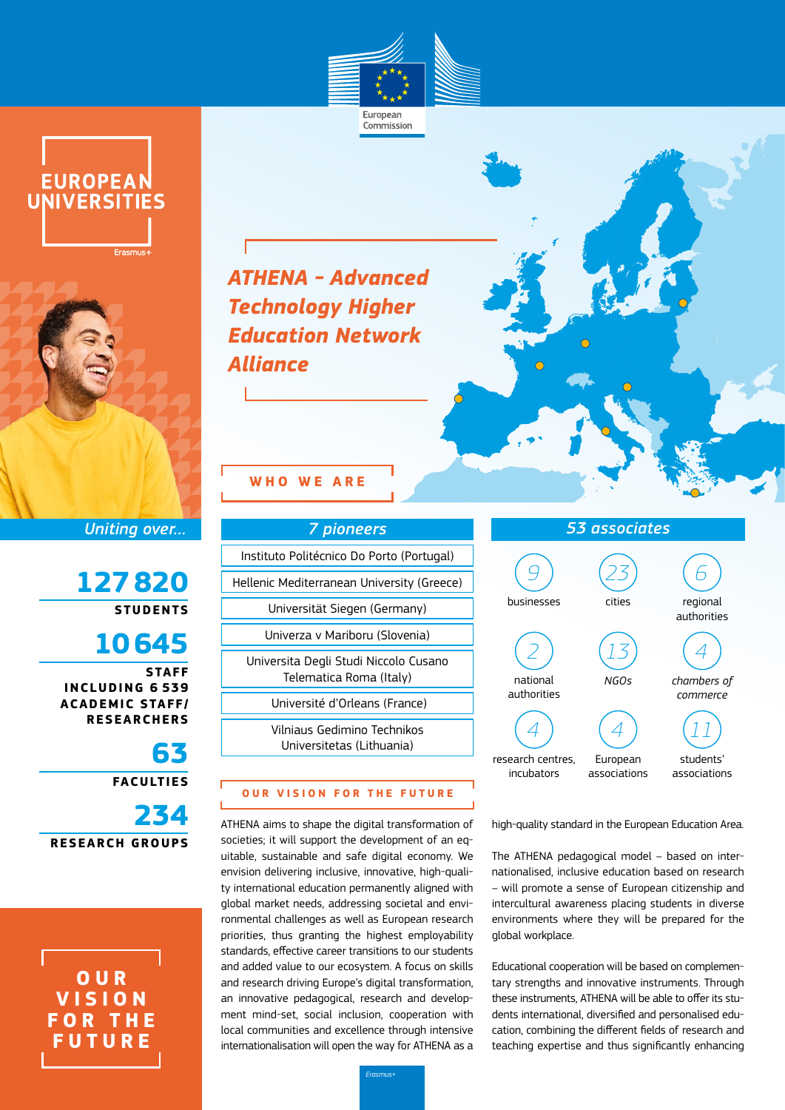

Commission





*Uniting over…*

**127820 STUDENTS**

**10645 STAFF INCLUDING 6 539 ACADEMIC STAFF/ RESEARCHERS**

**63 FACULTIES 234 RESEARCH GROUPS**

**O U R V I S I O N F O R T H E FUTURE**

*ATHENA - Advanced Technology Higher Education Network Alliance*

# **WHO WE ARE**

| <b>7 pioneers</b>                                                |
|------------------------------------------------------------------|
| Instituto Politécnico Do Porto (Portugal)                        |
| Hellenic Mediterranean University (Greece)                       |
| Universität Siegen (Germany)                                     |
| Univerza v Mariboru (Slovenia)                                   |
| Universita Degli Studi Niccolo Cusano<br>Telematica Roma (Italy) |
| Université d'Orleans (France)                                    |
| Vilniaus Gedimino Technikos<br>Universitetas (Lithuania)         |

### **OUR VISION FOR THE FUTURE**

ATHENA aims to shape the digital transformation of societies; it will support the development of an equitable, sustainable and safe digital economy. We envision delivering inclusive, innovative, high-quality international education permanently aligned with global market needs, addressing societal and environmental challenges as well as European research priorities, thus granting the highest employability standards, effective career transitions to our students and added value to our ecosystem. A focus on skills and research driving Europe's digital transformation, an innovative pedagogical, research and development mind-set, social inclusion, cooperation with local communities and excellence through intensive internationalisation will open the way for ATHENA as a



high-quality standard in the European Education Area.

The ATHENA pedagogical model – based on internationalised, inclusive education based on research – will promote a sense of European citizenship and intercultural awareness placing students in diverse environments where they will be prepared for the global workplace.

Educational cooperation will be based on complementary strengths and innovative instruments. Through these instruments, ATHENA will be able to offer its students international, diversified and personalised education, combining the different fields of research and teaching expertise and thus significantly enhancing